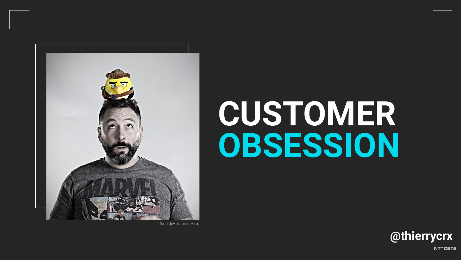

Quand j'avais des cheveux

# CUSTOMER OBSESSION



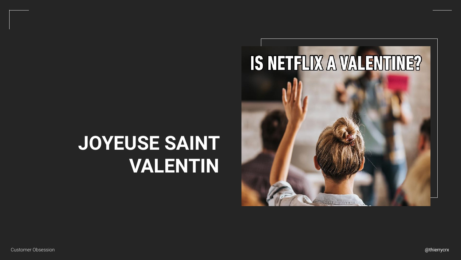@thierrycrx

### **JOYEUSE SAINT VALENTIN**



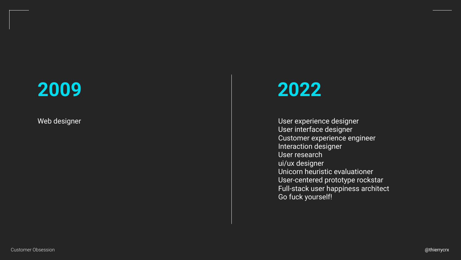

Web designer

#### **2022**

User experience designer User interface designer Customer experience engineer Interaction designer User research ui/ux designer Unicorn heuristic evaluationer User-centered prototype rockstar Full-stack user happiness architect Go fuck yourself!

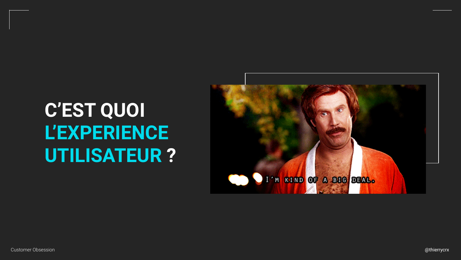## C'EST QUOI L'EXPERIENCE UTILISATEUR?

**Customer Obsession** 





@thierrycrx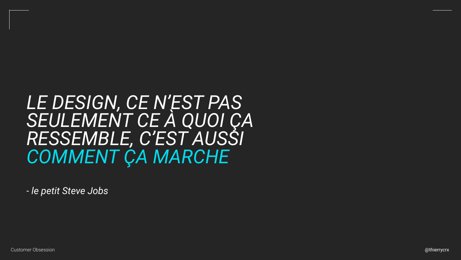#### LE DESIGN, CE N'EST PAS SEULEMENT CE À QUOI ÇA RESSEMBLE, C'EST AUSSI COMMENT ÇA MARCHE

- le petit Steve Jobs

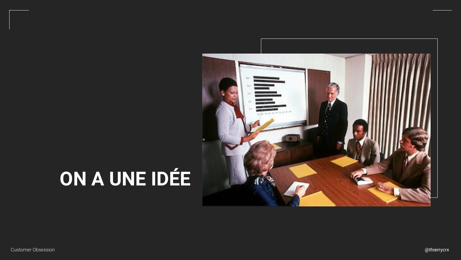## ON A UNE IDÉE

Customer Obsession



@thierrycrx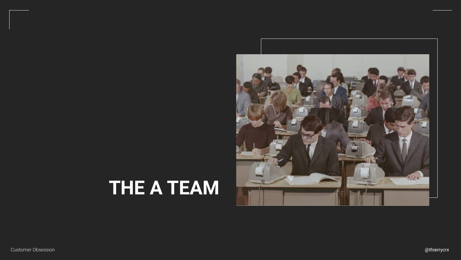@thierrycrx

## **THE A TEAM**



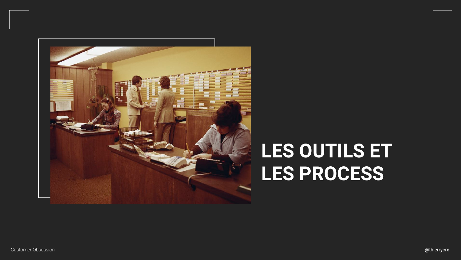

## **LES OUTILS ET LES PROCESS**

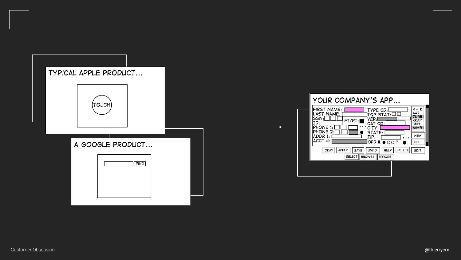



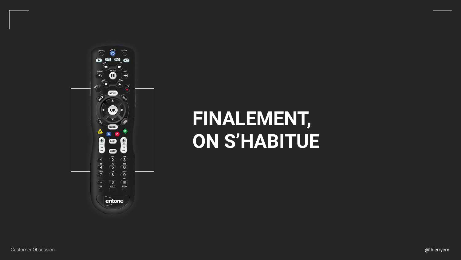



## **FINALEMENT, ON S'HABITUE**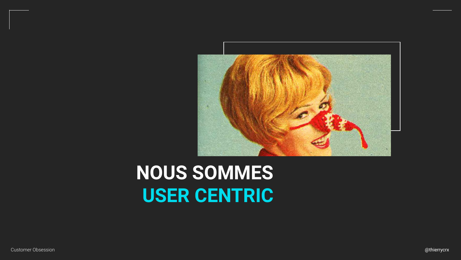

## **NOUS SOMMES USER CENTRIC**

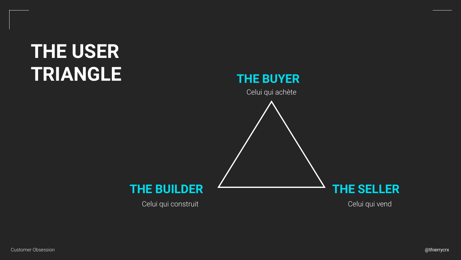



## **THE USER TRIANGLE**

Celui qui construit Celui qui vend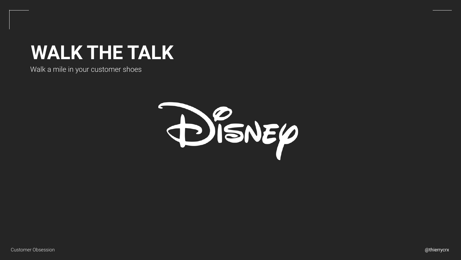

#### **WALK THE TALK**

#### Walk a mile in your customer shoes

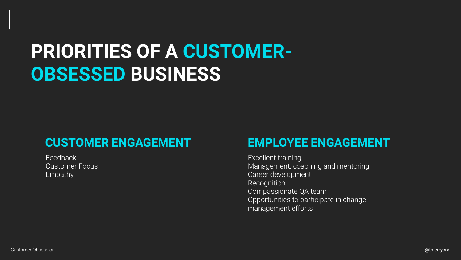## **PRIORITIES OF A CUSTOMER-OBSESSED BUSINESS**

#### **CUSTOMER ENGAGEMENT EMPLOYEE ENGAGEMENT**

Feedback Customer Focus Empathy

Excellent training Management, coaching and mentoring Career development Recognition Compassionate QA team Opportunities to participate in change management efforts

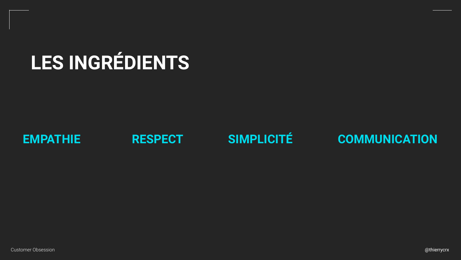

## **LES INGRÉDIENTS**

#### **RESPECT SIMPLICITÉ COMMUNICATION**

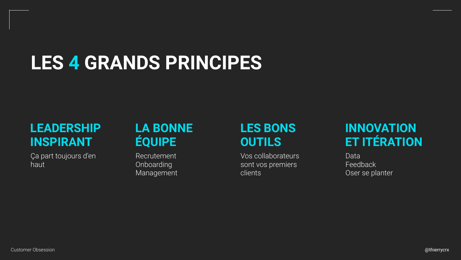## **LES 4 GRANDS PRINCIPES**

#### **LEADERSHIP INSPIRANT**

Ça part toujours d'en haut

#### **LA BONNE ÉQUIPE**

Recrutement Onboarding Management

#### **INNOVATION ET ITÉRATION**

Data Feedback Oser se planter



#### **LES BONS OUTILS**

Vos collaborateurs sont vos premiers clients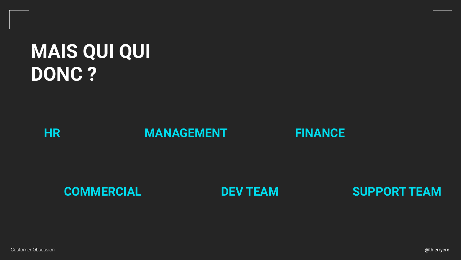





#### **MAIS QUI QUI DONC ?**



#### **COMMERCIAL**





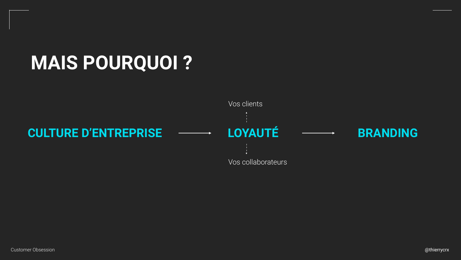## **MAIS POURQUOI ?**

#### **CULTURE D'ENTREPRISE LOYAUTÉ BRANDING**





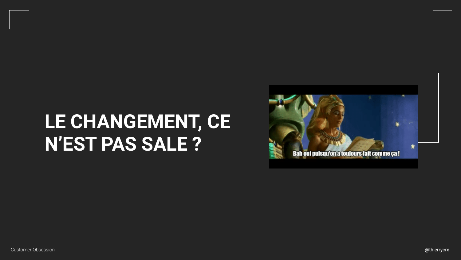## LE CHANGEMENT, CE N'EST PAS SALE ?

**Customer Obsession** 







@thierrycrx